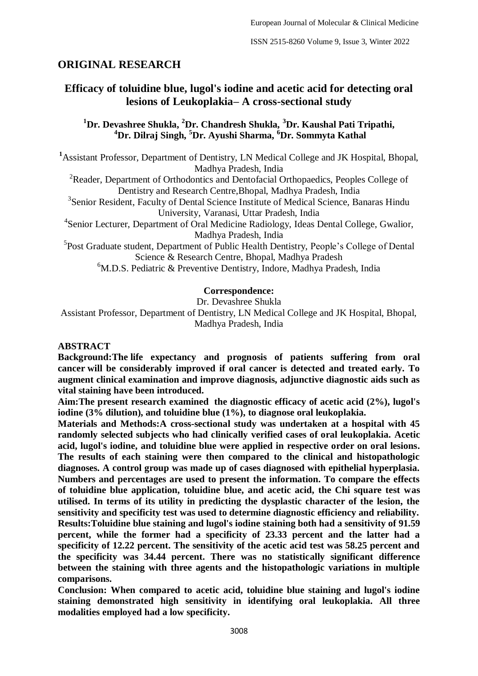# **ORIGINAL RESEARCH**

# **Efficacy of toluidine blue, lugol's iodine and acetic acid for detecting oral lesions of Leukoplakia– A cross-sectional study**

## **<sup>1</sup>Dr. Devashree Shukla, <sup>2</sup>Dr. Chandresh Shukla, <sup>3</sup>Dr. Kaushal Pati Tripathi, <sup>4</sup>Dr. Dilraj Singh, <sup>5</sup>Dr. Ayushi Sharma, <sup>6</sup>Dr. Sommyta Kathal**

**<sup>1</sup>**Assistant Professor, Department of Dentistry, LN Medical College and JK Hospital, Bhopal, Madhya Pradesh, India

<sup>2</sup>Reader, Department of Orthodontics and Dentofacial Orthopaedics, Peoples College of Dentistry and Research Centre,Bhopal, Madhya Pradesh, India

<sup>3</sup>Senior Resident, Faculty of Dental Science Institute of Medical Science, Banaras Hindu University, Varanasi, Uttar Pradesh, India

<sup>4</sup>Senior Lecturer, Department of Oral Medicine Radiology, Ideas Dental College, Gwalior, Madhya Pradesh, India

<sup>5</sup>Post Graduate student, Department of Public Health Dentistry, People's College of Dental Science & Research Centre, Bhopal, Madhya Pradesh

<sup>6</sup>M.D.S. Pediatric & Preventive Dentistry, Indore, Madhya Pradesh, India

#### **Correspondence:**

Dr. Devashree Shukla

Assistant Professor, Department of Dentistry, LN Medical College and JK Hospital, Bhopal, Madhya Pradesh, India

#### **ABSTRACT**

**Background:The life expectancy and prognosis of patients suffering from oral cancer will be considerably improved if oral cancer is detected and treated early. To augment clinical examination and improve diagnosis, adjunctive diagnostic aids such as vital staining have been introduced.**

**Aim:The present research examined the diagnostic efficacy of acetic acid (2%), lugol's iodine (3% dilution), and toluidine blue (1%), to diagnose oral leukoplakia.**

**Materials and Methods:A cross-sectional study was undertaken at a hospital with 45 randomly selected subjects who had clinically verified cases of oral leukoplakia. Acetic acid, lugol's iodine, and toluidine blue were applied in respective order on oral lesions. The results of each staining were then compared to the clinical and histopathologic diagnoses. A control group was made up of cases diagnosed with epithelial hyperplasia. Numbers and percentages are used to present the information. To compare the effects of toluidine blue application, toluidine blue, and acetic acid, the Chi square test was utilised. In terms of its utility in predicting the dysplastic character of the lesion, the sensitivity and specificity test was used to determine diagnostic efficiency and reliability. Results:Toluidine blue staining and lugol's iodine staining both had a sensitivity of 91.59 percent, while the former had a specificity of 23.33 percent and the latter had a specificity of 12.22 percent. The sensitivity of the acetic acid test was 58.25 percent and the specificity was 34.44 percent. There was no statistically significant difference between the staining with three agents and the histopathologic variations in multiple comparisons.**

**Conclusion: When compared to acetic acid, toluidine blue staining and lugol's iodine staining demonstrated high sensitivity in identifying oral leukoplakia. All three modalities employed had a low specificity.**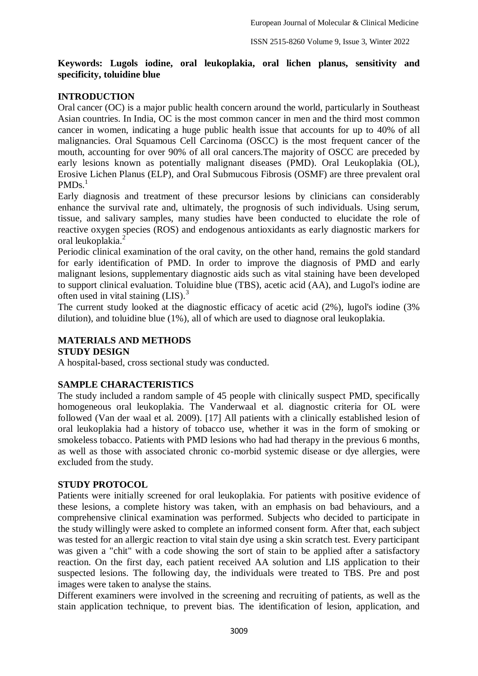#### **Keywords: Lugols iodine, oral leukoplakia, oral lichen planus, sensitivity and specificity, toluidine blue**

## **INTRODUCTION**

Oral cancer (OC) is a major public health concern around the world, particularly in Southeast Asian countries. In India, OC is the most common cancer in men and the third most common cancer in women, indicating a huge public health issue that accounts for up to 40% of all malignancies. Oral Squamous Cell Carcinoma (OSCC) is the most frequent cancer of the mouth, accounting for over 90% of all oral cancers.The majority of OSCC are preceded by early lesions known as potentially malignant diseases (PMD). Oral Leukoplakia (OL), Erosive Lichen Planus (ELP), and Oral Submucous Fibrosis (OSMF) are three prevalent oral  $PMDs.$ <sup>1</sup>

Early diagnosis and treatment of these precursor lesions by clinicians can considerably enhance the survival rate and, ultimately, the prognosis of such individuals. Using serum, tissue, and salivary samples, many studies have been conducted to elucidate the role of reactive oxygen species (ROS) and endogenous antioxidants as early diagnostic markers for oral leukoplakia.<sup>2</sup>

Periodic clinical examination of the oral cavity, on the other hand, remains the gold standard for early identification of PMD. In order to improve the diagnosis of PMD and early malignant lesions, supplementary diagnostic aids such as vital staining have been developed to support clinical evaluation. Toluidine blue (TBS), acetic acid (AA), and Lugol's iodine are often used in vital staining  $(LIS)$ .<sup>3</sup>

The current study looked at the diagnostic efficacy of acetic acid (2%), lugol's iodine (3% dilution), and toluidine blue (1%), all of which are used to diagnose oral leukoplakia.

## **MATERIALS AND METHODS**

**STUDY DESIGN** 

A hospital-based, cross sectional study was conducted.

## **SAMPLE CHARACTERISTICS**

The study included a random sample of 45 people with clinically suspect PMD, specifically homogeneous oral leukoplakia. The Vanderwaal et al. diagnostic criteria for OL were followed (Van der waal et al. 2009). [17] All patients with a clinically established lesion of oral leukoplakia had a history of tobacco use, whether it was in the form of smoking or smokeless tobacco. Patients with PMD lesions who had had therapy in the previous 6 months, as well as those with associated chronic co-morbid systemic disease or dye allergies, were excluded from the study.

## **STUDY PROTOCOL**

Patients were initially screened for oral leukoplakia. For patients with positive evidence of these lesions, a complete history was taken, with an emphasis on bad behaviours, and a comprehensive clinical examination was performed. Subjects who decided to participate in the study willingly were asked to complete an informed consent form. After that, each subject was tested for an allergic reaction to vital stain dye using a skin scratch test. Every participant was given a "chit" with a code showing the sort of stain to be applied after a satisfactory reaction. On the first day, each patient received AA solution and LIS application to their suspected lesions. The following day, the individuals were treated to TBS. Pre and post images were taken to analyse the stains.

Different examiners were involved in the screening and recruiting of patients, as well as the stain application technique, to prevent bias. The identification of lesion, application, and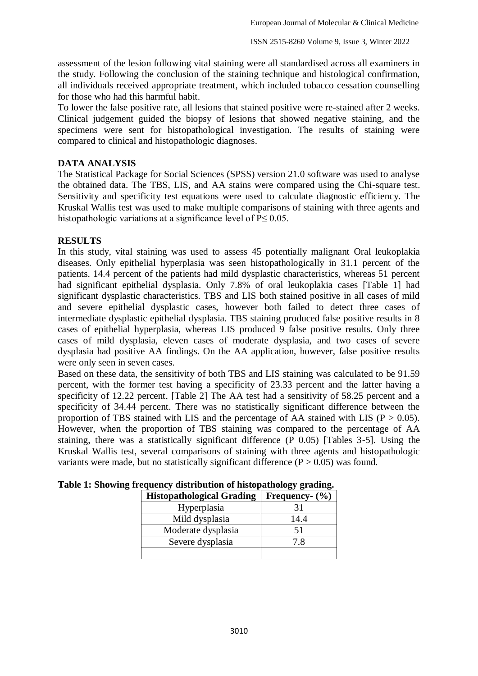assessment of the lesion following vital staining were all standardised across all examiners in the study. Following the conclusion of the staining technique and histological confirmation, all individuals received appropriate treatment, which included tobacco cessation counselling for those who had this harmful habit.

To lower the false positive rate, all lesions that stained positive were re-stained after 2 weeks. Clinical judgement guided the biopsy of lesions that showed negative staining, and the specimens were sent for histopathological investigation. The results of staining were compared to clinical and histopathologic diagnoses.

## **DATA ANALYSIS**

The Statistical Package for Social Sciences (SPSS) version 21.0 software was used to analyse the obtained data. The TBS, LIS, and AA stains were compared using the Chi-square test. Sensitivity and specificity test equations were used to calculate diagnostic efficiency. The Kruskal Wallis test was used to make multiple comparisons of staining with three agents and histopathologic variations at a significance level of  $P \le 0.05$ .

#### **RESULTS**

In this study, vital staining was used to assess 45 potentially malignant Oral leukoplakia diseases. Only epithelial hyperplasia was seen histopathologically in 31.1 percent of the patients. 14.4 percent of the patients had mild dysplastic characteristics, whereas 51 percent had significant epithelial dysplasia. Only 7.8% of oral leukoplakia cases [Table 1] had significant dysplastic characteristics. TBS and LIS both stained positive in all cases of mild and severe epithelial dysplastic cases, however both failed to detect three cases of intermediate dysplastic epithelial dysplasia. TBS staining produced false positive results in 8 cases of epithelial hyperplasia, whereas LIS produced 9 false positive results. Only three cases of mild dysplasia, eleven cases of moderate dysplasia, and two cases of severe dysplasia had positive AA findings. On the AA application, however, false positive results were only seen in seven cases.

Based on these data, the sensitivity of both TBS and LIS staining was calculated to be 91.59 percent, with the former test having a specificity of 23.33 percent and the latter having a specificity of 12.22 percent. [Table 2] The AA test had a sensitivity of 58.25 percent and a specificity of 34.44 percent. There was no statistically significant difference between the proportion of TBS stained with LIS and the percentage of AA stained with LIS ( $P > 0.05$ ). However, when the proportion of TBS staining was compared to the percentage of AA staining, there was a statistically significant difference (P 0.05) [Tables 3-5]. Using the Kruskal Wallis test, several comparisons of staining with three agents and histopathologic variants were made, but no statistically significant difference  $(P > 0.05)$  was found.

|                                  | 32 S               |
|----------------------------------|--------------------|
| <b>Histopathological Grading</b> | Frequency- $(\% )$ |
| Hyperplasia                      | 31                 |
| Mild dysplasia                   | 14.4               |
| Moderate dysplasia               | 51                 |
| Severe dysplasia                 | 7.8                |
|                                  |                    |

|  | Table 1: Showing frequency distribution of histopathology grading. |  |  |
|--|--------------------------------------------------------------------|--|--|
|  |                                                                    |  |  |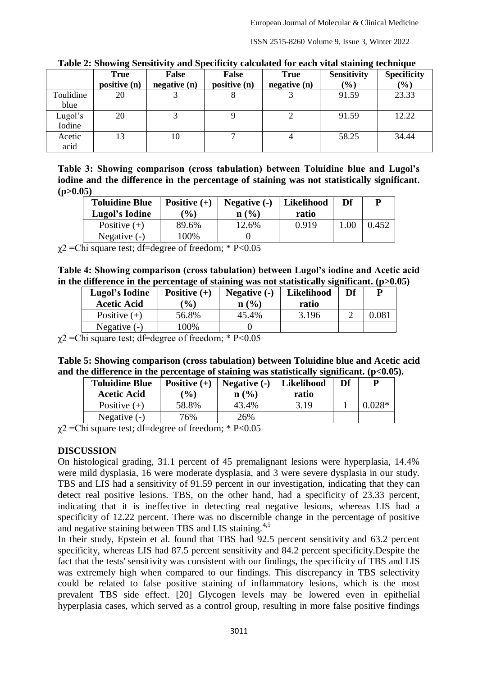ISSN 2515-8260 Volume 9, Issue 3, Winter 2022

| $1.4010 + 1.0110 + 1.0110 + 1.00110 + 1.00110$<br>$\cdots \cdots$<br>calculated for cach treat beaming ecclining ac |              |             |              |             |                    |                    |
|---------------------------------------------------------------------------------------------------------------------|--------------|-------------|--------------|-------------|--------------------|--------------------|
|                                                                                                                     | <b>True</b>  | False       | False        | <b>True</b> | <b>Sensitivity</b> | <b>Specificity</b> |
|                                                                                                                     | positive (n) | negative(n) | positive (n) | negative(n) | (%)                | $(\%)$             |
| Toulidine                                                                                                           | 20           |             | Õ            |             | 91.59              | 23.33              |
| blue                                                                                                                |              |             |              |             |                    |                    |
| Lugol's                                                                                                             | 20           |             |              |             | 91.59              | 12.22              |
| Iodine                                                                                                              |              |             |              |             |                    |                    |
| Acetic                                                                                                              | 13           | 10          | ⇁            |             | 58.25              | 34.44              |
| acid                                                                                                                |              |             |              |             |                    |                    |

**Table 2: Showing Sensitivity and Specificity calculated for each vital staining technique**

**Table 3: Showing comparison (cross tabulation) between Toluidine blue and Lugol's iodine and the difference in the percentage of staining was not statistically significant. (p>0.05)**

| <b>Toluidine Blue</b><br>Lugol's Iodine | Positive $(+)$<br>$\mathcal{O}_0$ | Negative (-)<br>n(%) | Likelihood<br>ratio | Df  |       |
|-----------------------------------------|-----------------------------------|----------------------|---------------------|-----|-------|
| Positive $(+)$                          | 89.6%                             | 12.6%                | 0.919               | .00 | 0.452 |
| Negative $(-)$                          | 100%                              |                      |                     |     |       |

 $\gamma$ 2 = Chi square test; df = degree of freedom; \* P < 0.05

**Table 4: Showing comparison (cross tabulation) between Lugol's iodine and Acetic acid in the difference in the percentage of staining was not statistically significant. (p>0.05)**

| Lugol's Iodine     | Positive $(+)$ | Negative (-)     | Likelihood | Df |  |
|--------------------|----------------|------------------|------------|----|--|
| <b>Acetic Acid</b> | $\frac{9}{6}$  | $\mathbf{n}(\%)$ | ratio      |    |  |
| Positive $(+)$     | 56.8%          | 45.4%            | 3.196      |    |  |
| Negative $(-)$     | 100%           |                  |            |    |  |

 $\gamma$ 2 = Chi square test; df = degree of freedom; \* P < 0.05

| Table 5: Showing comparison (cross tabulation) between Toluidine blue and Acetic acid        |  |  |
|----------------------------------------------------------------------------------------------|--|--|
| and the difference in the percentage of staining was statistically significant. $(p<0.05)$ . |  |  |

| <b>Toluidine Blue</b><br><b>Acetic Acid</b> | Positive $(+)$<br>Likelihood<br>Negative $(-)$<br>$\mathcal{O}_0$<br>n(%)<br>ratio |       | Df   | P |  |
|---------------------------------------------|------------------------------------------------------------------------------------|-------|------|---|--|
| Positive $(+)$                              | 58.8%                                                                              | 43.4% | 3.19 |   |  |
| Negative $(-)$                              | 76%                                                                                | 26%   |      |   |  |

 $\gamma$ 2 = Chi square test; df = degree of freedom; \* P < 0.05

## **DISCUSSION**

On histological grading, 31.1 percent of 45 premalignant lesions were hyperplasia, 14.4% were mild dysplasia, 16 were moderate dysplasia, and 3 were severe dysplasia in our study. TBS and LIS had a sensitivity of 91.59 percent in our investigation, indicating that they can detect real positive lesions. TBS, on the other hand, had a specificity of 23.33 percent, indicating that it is ineffective in detecting real negative lesions, whereas LIS had a specificity of 12.22 percent. There was no discernible change in the percentage of positive and negative staining between TBS and LIS staining.<sup>4,5</sup>

In their study, Epstein et al. found that TBS had 92.5 percent sensitivity and 63.2 percent specificity, whereas LIS had 87.5 percent sensitivity and 84.2 percent specificity.Despite the fact that the tests' sensitivity was consistent with our findings, the specificity of TBS and LIS was extremely high when compared to our findings. This discrepancy in TBS selectivity could be related to false positive staining of inflammatory lesions, which is the most prevalent TBS side effect. [20] Glycogen levels may be lowered even in epithelial hyperplasia cases, which served as a control group, resulting in more false positive findings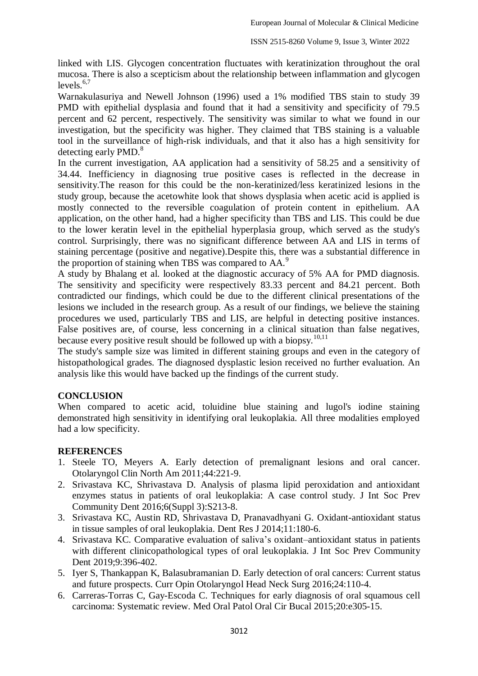linked with LIS. Glycogen concentration fluctuates with keratinization throughout the oral mucosa. There is also a scepticism about the relationship between inflammation and glycogen levels $6,7$ 

Warnakulasuriya and Newell Johnson (1996) used a 1% modified TBS stain to study 39 PMD with epithelial dysplasia and found that it had a sensitivity and specificity of 79.5 percent and 62 percent, respectively. The sensitivity was similar to what we found in our investigation, but the specificity was higher. They claimed that TBS staining is a valuable tool in the surveillance of high-risk individuals, and that it also has a high sensitivity for detecting early PMD.<sup>8</sup>

In the current investigation, AA application had a sensitivity of 58.25 and a sensitivity of 34.44. Inefficiency in diagnosing true positive cases is reflected in the decrease in sensitivity.The reason for this could be the non-keratinized/less keratinized lesions in the study group, because the acetowhite look that shows dysplasia when acetic acid is applied is mostly connected to the reversible coagulation of protein content in epithelium. AA application, on the other hand, had a higher specificity than TBS and LIS. This could be due to the lower keratin level in the epithelial hyperplasia group, which served as the study's control. Surprisingly, there was no significant difference between AA and LIS in terms of staining percentage (positive and negative).Despite this, there was a substantial difference in the proportion of staining when TBS was compared to AA.<sup>9</sup>

A study by Bhalang et al. looked at the diagnostic accuracy of 5% AA for PMD diagnosis. The sensitivity and specificity were respectively 83.33 percent and 84.21 percent. Both contradicted our findings, which could be due to the different clinical presentations of the lesions we included in the research group. As a result of our findings, we believe the staining procedures we used, particularly TBS and LIS, are helpful in detecting positive instances. False positives are, of course, less concerning in a clinical situation than false negatives, because every positive result should be followed up with a biopsy.<sup>10,11</sup>

The study's sample size was limited in different staining groups and even in the category of histopathological grades. The diagnosed dysplastic lesion received no further evaluation. An analysis like this would have backed up the findings of the current study.

## **CONCLUSION**

When compared to acetic acid, toluidine blue staining and lugol's iodine staining demonstrated high sensitivity in identifying oral leukoplakia. All three modalities employed had a low specificity.

#### **REFERENCES**

- 1. Steele TO, Meyers A. Early detection of premalignant lesions and oral cancer. Otolaryngol Clin North Am 2011;44:221-9.
- 2. Srivastava KC, Shrivastava D. Analysis of plasma lipid peroxidation and antioxidant enzymes status in patients of oral leukoplakia: A case control study. J Int Soc Prev Community Dent 2016;6(Suppl 3):S213-8.
- 3. Srivastava KC, Austin RD, Shrivastava D, Pranavadhyani G. Oxidant-antioxidant status in tissue samples of oral leukoplakia. Dent Res J 2014;11:180-6.
- 4. Srivastava KC. Comparative evaluation of saliva's oxidant–antioxidant status in patients with different clinicopathological types of oral leukoplakia. J Int Soc Prev Community Dent 2019;9:396-402.
- 5. Iyer S, Thankappan K, Balasubramanian D. Early detection of oral cancers: Current status and future prospects. Curr Opin Otolaryngol Head Neck Surg 2016;24:110-4.
- 6. Carreras-Torras C, Gay-Escoda C. Techniques for early diagnosis of oral squamous cell carcinoma: Systematic review. Med Oral Patol Oral Cir Bucal 2015;20:e305-15.